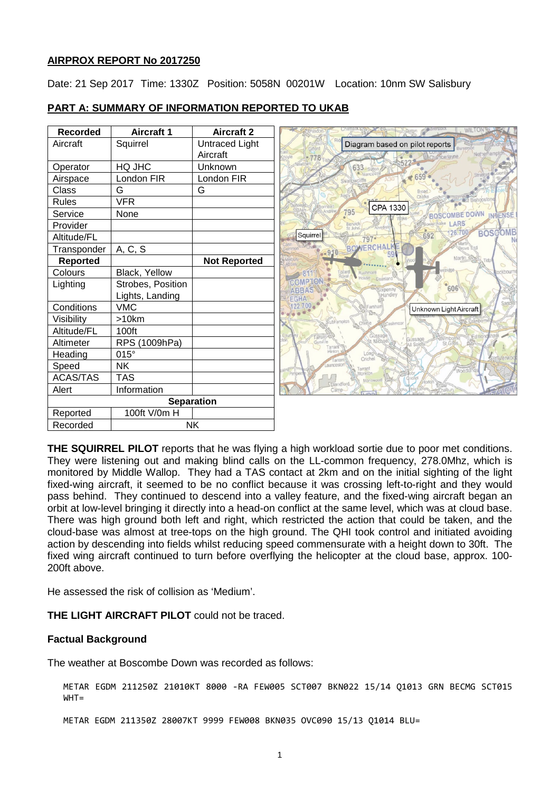### **AIRPROX REPORT No 2017250**

Date: 21 Sep 2017 Time: 1330Z Position: 5058N 00201W Location: 10nm SW Salisbury

| <b>Recorded</b>   | <b>Aircraft 1</b> | <b>Aircraft 2</b>   | WILTON W                                                    |
|-------------------|-------------------|---------------------|-------------------------------------------------------------|
| Aircraft          | Squirrel          | Untraced Light      | Diagram based on pilot reports                              |
|                   |                   | Aircraft            | Neth<br>berlayne                                            |
| Operator          | HQ JHC            | Unknown             | 633                                                         |
| Airspace          | London FIR        | London FIR          |                                                             |
| Class             | G                 | G                   |                                                             |
| <b>Rules</b>      | <b>VFR</b>        |                     | CPA 1330                                                    |
| Service           | None              |                     | 795<br><b>OMBE DOWN</b><br><b>INTIENSE</b>                  |
| Provider          |                   |                     | LARS<br>Berwi                                               |
| Altitude/FL       |                   |                     | <b>BOSCOMB</b><br>26.<br>Squirrel<br>692<br>797•            |
| Transponder       | A, C, S           |                     | <b>BOWERCHAL</b>                                            |
| <b>Reported</b>   |                   | <b>Not Reported</b> | Martin <sup>25</sup>                                        |
| Colours           | Black, Yellow     |                     |                                                             |
| Lighting          | Strobes, Position |                     | COMPTO<br>606                                               |
|                   | Lights, Landing   |                     | Handley<br>EGHA                                             |
| Conditions        | <b>VMC</b>        |                     | $22700 -$<br>Famh<br>Unknown Light Aircraft                 |
| Visibility        | >10km             |                     | Chette                                                      |
| Altitude/FL       | 100ft             |                     | Gussage                                                     |
| Altimeter         | RPS (1009hPa)     |                     | Gussage<br>st Michael<br>St Gilos                           |
| Heading           | $015^\circ$       |                     | Tarrant <sup>®</sup><br>Hinton<br>Long<br>Crichel<br>Tarrar |
| Speed             | <b>NK</b>         |                     | arrant                                                      |
| <b>ACAS/TAS</b>   | <b>TAS</b>        |                     | <b>Aonkton</b><br>Manswood<br>Blandford                     |
| Alert             | Information       |                     | Camp                                                        |
| <b>Separation</b> |                   |                     |                                                             |
| Reported          | 100ft V/0m H      |                     |                                                             |
| Recorded          | <b>NK</b>         |                     |                                                             |

# **PART A: SUMMARY OF INFORMATION REPORTED TO UKAB**

**THE SQUIRREL PILOT** reports that he was flying a high workload sortie due to poor met conditions. They were listening out and making blind calls on the LL-common frequency, 278.0Mhz, which is monitored by Middle Wallop. They had a TAS contact at 2km and on the initial sighting of the light fixed-wing aircraft, it seemed to be no conflict because it was crossing left-to-right and they would pass behind. They continued to descend into a valley feature, and the fixed-wing aircraft began an orbit at low-level bringing it directly into a head-on conflict at the same level, which was at cloud base. There was high ground both left and right, which restricted the action that could be taken, and the cloud-base was almost at tree-tops on the high ground. The QHI took control and initiated avoiding action by descending into fields whilst reducing speed commensurate with a height down to 30ft. The fixed wing aircraft continued to turn before overflying the helicopter at the cloud base, approx. 100- 200ft above.

He assessed the risk of collision as 'Medium'.

**THE LIGHT AIRCRAFT PILOT** could not be traced.

#### **Factual Background**

The weather at Boscombe Down was recorded as follows:

METAR EGDM 211250Z 21010KT 8000 -RA FEW005 SCT007 BKN022 15/14 Q1013 GRN BECMG SCT015  $WHT =$ 

METAR EGDM 211350Z 28007KT 9999 FEW008 BKN035 OVC090 15/13 Q1014 BLU=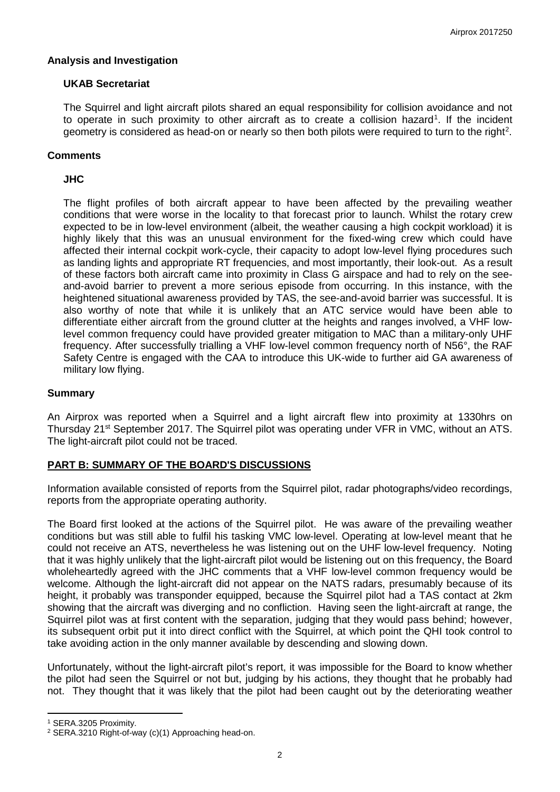### **Analysis and Investigation**

## **UKAB Secretariat**

The Squirrel and light aircraft pilots shared an equal responsibility for collision avoidance and not to operate in such proximity to other aircraft as to create a collision hazard<sup>[1](#page-1-0)</sup>. If the incident geometry is considered as head-on or nearly so then both pilots were required to turn to the right<sup>2</sup>.

# **Comments**

## **JHC**

The flight profiles of both aircraft appear to have been affected by the prevailing weather conditions that were worse in the locality to that forecast prior to launch. Whilst the rotary crew expected to be in low-level environment (albeit, the weather causing a high cockpit workload) it is highly likely that this was an unusual environment for the fixed-wing crew which could have affected their internal cockpit work-cycle, their capacity to adopt low-level flying procedures such as landing lights and appropriate RT frequencies, and most importantly, their look-out. As a result of these factors both aircraft came into proximity in Class G airspace and had to rely on the seeand-avoid barrier to prevent a more serious episode from occurring. In this instance, with the heightened situational awareness provided by TAS, the see-and-avoid barrier was successful. It is also worthy of note that while it is unlikely that an ATC service would have been able to differentiate either aircraft from the ground clutter at the heights and ranges involved, a VHF lowlevel common frequency could have provided greater mitigation to MAC than a military-only UHF frequency. After successfully trialling a VHF low-level common frequency north of N56°, the RAF Safety Centre is engaged with the CAA to introduce this UK-wide to further aid GA awareness of military low flying.

### **Summary**

An Airprox was reported when a Squirrel and a light aircraft flew into proximity at 1330hrs on Thursday 21<sup>st</sup> September 2017. The Squirrel pilot was operating under VFR in VMC, without an ATS. The light-aircraft pilot could not be traced.

# **PART B: SUMMARY OF THE BOARD'S DISCUSSIONS**

Information available consisted of reports from the Squirrel pilot, radar photographs/video recordings, reports from the appropriate operating authority.

The Board first looked at the actions of the Squirrel pilot. He was aware of the prevailing weather conditions but was still able to fulfil his tasking VMC low-level. Operating at low-level meant that he could not receive an ATS, nevertheless he was listening out on the UHF low-level frequency. Noting that it was highly unlikely that the light-aircraft pilot would be listening out on this frequency, the Board wholeheartedly agreed with the JHC comments that a VHF low-level common frequency would be welcome. Although the light-aircraft did not appear on the NATS radars, presumably because of its height, it probably was transponder equipped, because the Squirrel pilot had a TAS contact at 2km showing that the aircraft was diverging and no confliction. Having seen the light-aircraft at range, the Squirrel pilot was at first content with the separation, judging that they would pass behind; however, its subsequent orbit put it into direct conflict with the Squirrel, at which point the QHI took control to take avoiding action in the only manner available by descending and slowing down.

Unfortunately, without the light-aircraft pilot's report, it was impossible for the Board to know whether the pilot had seen the Squirrel or not but, judging by his actions, they thought that he probably had not. They thought that it was likely that the pilot had been caught out by the deteriorating weather

l

<span id="page-1-0"></span><sup>1</sup> SERA.3205 Proximity.

<span id="page-1-1"></span><sup>2</sup> SERA.3210 Right-of-way (c)(1) Approaching head-on.